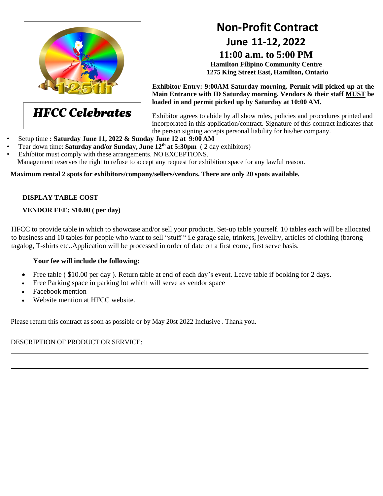

# **Non-Profit Contract June 11-12, 2022**

**11:00 a.m. to 5:00 PM Hamilton Filipino Community Centre 1275 King Street East, Hamilton, Ontario**

**Exhibitor Entry: 9:00AM Saturday morning. Permit will picked up at the Main Entrance with ID Saturday morning. Vendors & their staff MUST be loaded in and permit picked up by Saturday at 10:00 AM.**

Exhibitor agrees to abide by all show rules, policies and procedures printed and incorporated in this application/contract. Signature of this contract indicates that the person signing accepts personal liability for his/her company.

- Setup time **: Saturday June 11, 2022 & Sunday June 12 at 9:00 AM**
- Tear down time: **Saturday and/or Sunday, June 12th at 5:30pm** ( 2 day exhibitors) Exhibitor must comply with these arrangements. NO EXCEPTIONS.
- Management reserves the right to refuse to accept any request for exhibition space for any lawful reason.

### **Maximum rental 2 spots for exhibitors/company/sellers/vendors. There are only 20 spots available.**

### **DISPLAY TABLE COST**

### **VENDOR FEE: \$10.00 ( per day)**

HFCC to provide table in which to showcase and/or sell your products. Set-up table yourself. 10 tables each will be allocated to business and 10 tables for people who want to sell "stuff " i.e garage sale, trinkets, jewellry, articles of clothing (barong tagalog, T-shirts etc..Application will be processed in order of date on a first come, first serve basis.

### **Your fee will include the following:**

- Free table ( \$10.00 per day ). Return table at end of each day's event. Leave table if booking for 2 days.
- Free Parking space in parking lot which will serve as vendor space
- Facebook mention
- Website mention at HFCC website.

Please return this contract as soon as possible or by May 20st 2022 Inclusive . Thank you.

### DESCRIPTION OF PRODUCT OR SERVICE: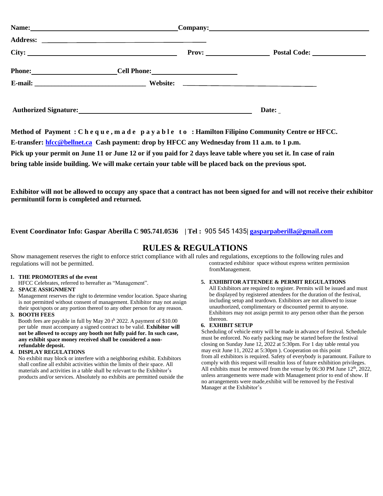| <b>Address:</b>                                          | <u> 1989 - Johann Harry Harry Harry Harry Harry Harry Harry Harry Harry Harry Harry Harry Harry Harry Harry Harry</u> |                                                            |              |  |
|----------------------------------------------------------|-----------------------------------------------------------------------------------------------------------------------|------------------------------------------------------------|--------------|--|
| City:                                                    |                                                                                                                       | Prov:                                                      | Postal Code: |  |
| <b>Phone:</b><br><u> 1980 - Johann Barbara, martxa a</u> |                                                                                                                       |                                                            |              |  |
| E-mail: Website:                                         |                                                                                                                       | <u> 1989 - Johann John Stein, fransk politik (d. 1989)</u> |              |  |
| <b>Authorized Signature:</b>                             |                                                                                                                       |                                                            | Date:        |  |

**Method of Payment : C h e q u e , m a d e p a y a b l e t o : Hamilton Filipino Community Centre or HFCC.**

**E-transfer: [hfcc@bellnet.ca](mailto:hfcc@bellnet.ca) Cash payment: drop by HFCC any Wednesday from 11 a.m. to 1 p.m.**

**Pick up your permit on June 11 or June 12 or if you paid for 2 days leave table where you set it. In case of rain**

**bring table inside building. We will make certain your table will be placed back on the previous spot.**

**Exhibitor will not be allowed to occupy any space that a contract has not been signed for and will not receive their exhibitor permituntil form is completed and returned.**

**Event Coordinator Info: Gaspar Aberilla C 905.741.0536 | Tel :** 905 545 1435**| [gasparpaberilla@gmail.com](mailto:gasparpaberilla@gmail.com)**

## **RULES & REGULATIONS**

Show management reserves the right to enforce strict compliance with all rules and regulations, exceptions to the following rules and regulations will not be permitted. contracted exhibitor space without express written permission

### **1. THE PROMOTERS of the event**

HFCC Celebrates, referred to hereafter as "Management".

### **2. SPACE ASSIGNMENT**

Management reserves the right to determine vendor location. Space sharing is not permitted without consent of management. Exhibitor may not assign their spot/spots or any portion thereof to any other person for any reason.

**3. BOOTH FEES**

Booth fees are payable in full by May 20 t <sup>h</sup> 2022. A payment of \$10.00 per table must accompany a signed contract to be valid. **Exhibitor will not be allowed to occupy any booth not fully paid for. In such case, any exhibit space money received shall be considered a nonrefundable deposit.**

### **4. DISPLAY REGULATIONS**

No exhibit may block or interfere with a neighboring exhibit. Exhibitors shall confine all exhibit activities within the limits of their space. All materials and activities in a table shall be relevant to the Exhibitor's products and/or services. Absolutely no exhibits are permitted outside the fromManagement.

### **5. EXHIBITOR ATTENDEE & PERMIT REGULATIONS**

All Exhibitors are required to register. Permits will be issued and must be displayed by registered attendees for the duration of the festival, including setup and teardown. Exhibitors are not allowed to issue unauthorized, complimentary or discounted permit to anyone. Exhibitors may not assign permit to any person other than the person thereon.

### **6. EXHIBIT SETUP**

Scheduling of vehicle entry will be made in advance of festival. Schedule must be enforced. No early packing may be started before the festival closing on Sunday June 12, 2022 at 5:30pm. For 1 day table rental you may exit June 11, 2022 at 5:30pm ). Cooperation on this point from all exhibitors is required. Safety of everybody is paramount. Failure to comply with this request will resultin loss of future exhibition privileges. All exhibits must be removed from the venue by  $06:30$  PM June  $12<sup>th</sup>$ ,  $2022$ , unless arrangements were made with Management prior to end of show. If no arrangements were made,exhibit will be removed by the Festival Manager at the Exhibitor's